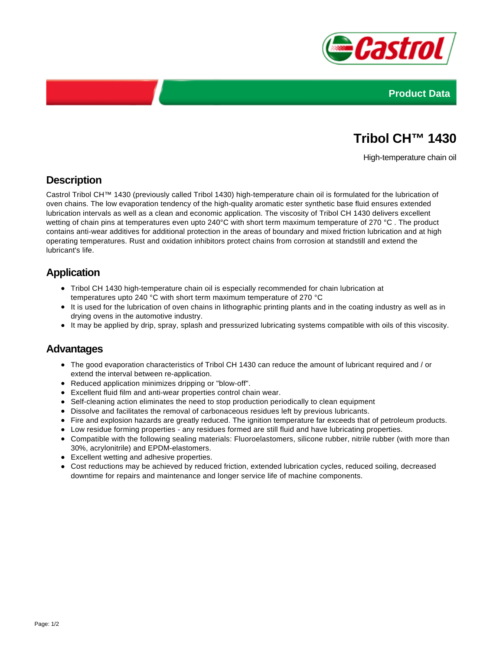



# **Tribol CH™ 1430**

High-temperature chain oil

# **Description**

Castrol Tribol CH™ 1430 (previously called Tribol 1430) high-temperature chain oil is formulated for the lubrication of oven chains. The low evaporation tendency of the high-quality aromatic ester synthetic base fluid ensures extended lubrication intervals as well as a clean and economic application. The viscosity of Tribol CH 1430 delivers excellent wetting of chain pins at temperatures even upto 240°C with short term maximum temperature of 270 °C. The product contains anti-wear additives for additional protection in the areas of boundary and mixed friction lubrication and at high operating temperatures. Rust and oxidation inhibitors protect chains from corrosion at standstill and extend the lubricant's life.

## **Application**

- Tribol CH 1430 high-temperature chain oil is especially recommended for chain lubrication at temperatures upto 240 °C with short term maximum temperature of 270 °C
- It is used for the lubrication of oven chains in lithographic printing plants and in the coating industry as well as in drying ovens in the automotive industry.
- It may be applied by drip, spray, splash and pressurized lubricating systems compatible with oils of this viscosity.

#### **Advantages**

- The good evaporation characteristics of Tribol CH 1430 can reduce the amount of lubricant required and / or extend the interval between re-application.
- Reduced application minimizes dripping or "blow-off".
- Excellent fluid film and anti-wear properties control chain wear.
- Self-cleaning action eliminates the need to stop production periodically to clean equipment
- Dissolve and facilitates the removal of carbonaceous residues left by previous lubricants.
- Fire and explosion hazards are greatly reduced. The ignition temperature far exceeds that of petroleum products.
- Low residue forming properties any residues formed are still fluid and have lubricating properties.
- Compatible with the following sealing materials: Fluoroelastomers, silicone rubber, nitrile rubber (with more than 30%, acrylonitrile) and EPDM-elastomers.
- Excellent wetting and adhesive properties.
- Cost reductions may be achieved by reduced friction, extended lubrication cycles, reduced soiling, decreased downtime for repairs and maintenance and longer service life of machine components.